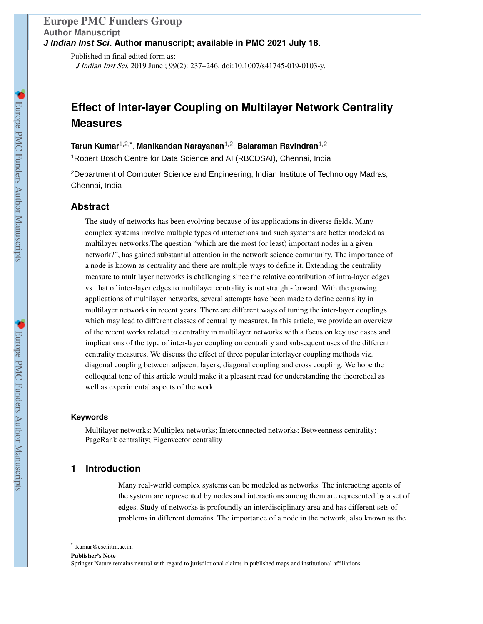Published in final edited form as: J Indian Inst Sci. 2019 June ; 99(2): 237–246. doi:10.1007/s41745-019-0103-y.

# **Effect of Inter-layer Coupling on Multilayer Network Centrality Measures**

**Tarun Kumar**1,2,\* , **Manikandan Narayanan**1,2, **Balaraman Ravindran**1,2

<sup>1</sup>Robert Bosch Centre for Data Science and AI (RBCDSAI), Chennai, India

 $2$ Department of Computer Science and Engineering, Indian Institute of Technology Madras, Chennai, India

# **Abstract**

The study of networks has been evolving because of its applications in diverse fields. Many complex systems involve multiple types of interactions and such systems are better modeled as multilayer networks.The question "which are the most (or least) important nodes in a given network?", has gained substantial attention in the network science community. The importance of a node is known as centrality and there are multiple ways to define it. Extending the centrality measure to multilayer networks is challenging since the relative contribution of intra-layer edges vs. that of inter-layer edges to multilayer centrality is not straight-forward. With the growing applications of multilayer networks, several attempts have been made to define centrality in multilayer networks in recent years. There are different ways of tuning the inter-layer couplings which may lead to different classes of centrality measures. In this article, we provide an overview of the recent works related to centrality in multilayer networks with a focus on key use cases and implications of the type of inter-layer coupling on centrality and subsequent uses of the different centrality measures. We discuss the effect of three popular interlayer coupling methods viz. diagonal coupling between adjacent layers, diagonal coupling and cross coupling. We hope the colloquial tone of this article would make it a pleasant read for understanding the theoretical as well as experimental aspects of the work.

#### **Keywords**

Multilayer networks; Multiplex networks; Interconnected networks; Betweenness centrality; PageRank centrality; Eigenvector centrality

# **1 Introduction**

Many real-world complex systems can be modeled as networks. The interacting agents of the system are represented by nodes and interactions among them are represented by a set of edges. Study of networks is profoundly an interdisciplinary area and has different sets of problems in different domains. The importance of a node in the network, also known as the

<sup>\*</sup> tkumar@cse.iitm.ac.in.

**Publisher's Note** 

Springer Nature remains neutral with regard to jurisdictional claims in published maps and institutional affiliations.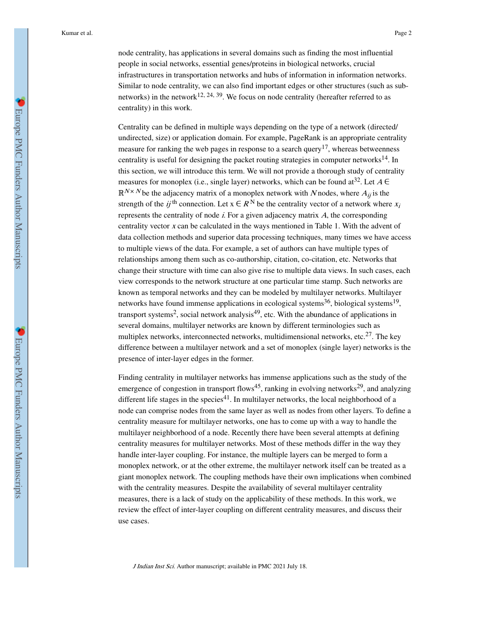node centrality, has applications in several domains such as finding the most influential people in social networks, essential genes/proteins in biological networks, crucial infrastructures in transportation networks and hubs of information in information networks. Similar to node centrality, we can also find important edges or other structures (such as subnetworks) in the network<sup>12, 24, 39</sup>. We focus on node centrality (hereafter referred to as centrality) in this work.

Centrality can be defined in multiple ways depending on the type of a network (directed/ undirected, size) or application domain. For example, PageRank is an appropriate centrality measure for ranking the web pages in response to a search query<sup>17</sup>, whereas betweenness centrality is useful for designing the packet routing strategies in computer networks<sup>14</sup>. In this section, we will introduce this term. We will not provide a thorough study of centrality measures for monoplex (i.e., single layer) networks, which can be found at <sup>32</sup>. Let  $A \in$  $\mathbb{R}^{N \times N}$  be the adjacency matrix of a monoplex network with N nodes, where  $A_{ij}$  is the strength of the *ij*<sup>th</sup> connection. Let  $x \in R^N$  be the centrality vector of a network where  $x_i$ represents the centrality of node i. For a given adjacency matrix A, the corresponding centrality vector x can be calculated in the ways mentioned in Table 1. With the advent of data collection methods and superior data processing techniques, many times we have access to multiple views of the data. For example, a set of authors can have multiple types of relationships among them such as co-authorship, citation, co-citation, etc. Networks that change their structure with time can also give rise to multiple data views. In such cases, each view corresponds to the network structure at one particular time stamp. Such networks are known as temporal networks and they can be modeled by multilayer networks. Multilayer networks have found immense applications in ecological systems<sup>36</sup>, biological systems<sup>19</sup>, transport systems<sup>2</sup>, social network analysis<sup>49</sup>, etc. With the abundance of applications in several domains, multilayer networks are known by different terminologies such as multiplex networks, interconnected networks, multidimensional networks, etc.<sup>27</sup>. The key difference between a multilayer network and a set of monoplex (single layer) networks is the presence of inter-layer edges in the former.

Finding centrality in multilayer networks has immense applications such as the study of the emergence of congestion in transport flows<sup>45</sup>, ranking in evolving networks<sup>29</sup>, and analyzing different life stages in the species $41$ . In multilayer networks, the local neighborhood of a node can comprise nodes from the same layer as well as nodes from other layers. To define a centrality measure for multilayer networks, one has to come up with a way to handle the multilayer neighborhood of a node. Recently there have been several attempts at defining centrality measures for multilayer networks. Most of these methods differ in the way they handle inter-layer coupling. For instance, the multiple layers can be merged to form a monoplex network, or at the other extreme, the multilayer network itself can be treated as a giant monoplex network. The coupling methods have their own implications when combined with the centrality measures. Despite the availability of several multilayer centrality measures, there is a lack of study on the applicability of these methods. In this work, we review the effect of inter-layer coupling on different centrality measures, and discuss their use cases.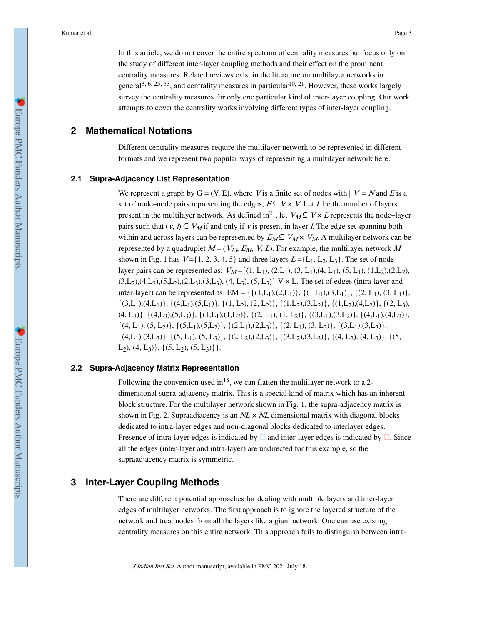In this article, we do not cover the entire spectrum of centrality measures but focus only on the study of different inter-layer coupling methods and their effect on the prominent centrality measures. Related reviews exist in the literature on multilayer networks in general<sup>3, 6, 25, 53</sup>, and centrality measures in particular<sup>10, 21</sup>. However, these works largely survey the centrality measures for only one particular kind of inter-layer coupling. Our work attempts to cover the centrality works involving different types of inter-layer coupling.

# **2 Mathematical Notations**

Different centrality measures require the multilayer network to be represented in different formats and we represent two popular ways of representing a multilayer network here.

#### **2.1 Supra-Adjacency List Representation**

We represent a graph by  $G = (V, E)$ , where V is a finite set of nodes with  $|V| = N$  and E is a set of node–node pairs representing the edges;  $E \subseteq V \times V$ . Let L be the number of layers present in the multilayer network. As defined in<sup>21</sup>, let  $V_M \subseteq V \times L$  represents the node–layer pairs such that  $(v, l) \in V_M$  if and only if v is present in layer *l*. The edge set spanning both within and across layers can be represented by  $E_M \subseteq V_M \times V_M$ . A multilayer network can be represented by a quadruplet  $M = (V_M, E_M, V, L)$ . For example, the multilayer network M shown in Fig. 1 has  $V = \{1, 2, 3, 4, 5\}$  and three layers  $L = \{L_1, L_2, L_3\}$ . The set of node– layer pairs can be represented as:  $V_M = \{(1, L_1), (2, L_1), (3, L_1), (4, L_1), (5, L_1), (1, L_2), (2, L_2),$  $(3,L_2),(4,L_2),(5,L_2),(2,L_3),(3,L_3),(4,L_3),(5,L_3)$  V × L. The set of edges (intra-layer and inter-layer) can be represented as: EM = { $\{(1,L_1),(2,L_1)\}, \{(1,L_1),(3,L_1)\}, \{(2,L_1),(3,L_1)\},$  $\{(3,L_1),(4,L_1)\}, \{(4,L_1),(5,L_1)\}, \{(1,L_2),(2,L_2)\}, \{(1,L_2),(3,L_2)\}, \{(1,L_2),(4,L_2)\}, \{(2,L_3),$  $(4, L_3)$ ,  $\{(4, L_3), (5, L_3)\}, \{(1, L_1), (1, L_2)\}, \{(2, L_1), (1, L_2)\}, \{(3, L_1), (3, L_2)\}, \{(4, L_1), (4, L_2)\},$  $\{(4, L_1), (5, L_2)\}, \{(5, L_1), (5, L_2)\}, \{(2, L_1), (2, L_3)\}, \{(2, L_1), (3, L_3)\}, \{(3, L_1), (3, L_3)\},$  $\{(4,L_1),(3,L_3)\}, \{(5,L_1),(5,L_3)\}, \{(2,L_2),(2,L_3)\}, \{(3,L_2),(3,L_3)\}, \{(4,L_2),(4,L_3)\}, \{(5,L_3),(4,L_3)\}, \{(4,L_3),(4,L_3)\}$  $L_2$ , (4,  $L_3$ ), {(5,  $L_2$ ), (5,  $L_3$ )}.

#### **2.2 Supra-Adjacency Matrix Representation**

Following the convention used in<sup>18</sup>, we can flatten the multilayer network to a 2dimensional supra-adjacency matrix. This is a special kind of matrix which has an inherent block structure. For the multilayer network shown in Fig. 1, the supra-adjacency matrix is shown in Fig. 2. Supraadjacency is an  $NL \times NL$  dimensional matrix with diagonal blocks dedicated to intra-layer edges and non-diagonal blocks dedicated to interlayer edges. Presence of intra-layer edges is indicated by  $\square$  and inter-layer edges is indicated by  $\square$ . Since all the edges (inter-layer and intra-layer) are undirected for this example, so the supraadjacency matrix is symmetric.

## **3 Inter-Layer Coupling Methods**

There are different potential approaches for dealing with multiple layers and inter-layer edges of multilayer networks. The first approach is to ignore the layered structure of the network and treat nodes from all the layers like a giant network. One can use existing centrality measures on this entire network. This approach fails to distinguish between intra-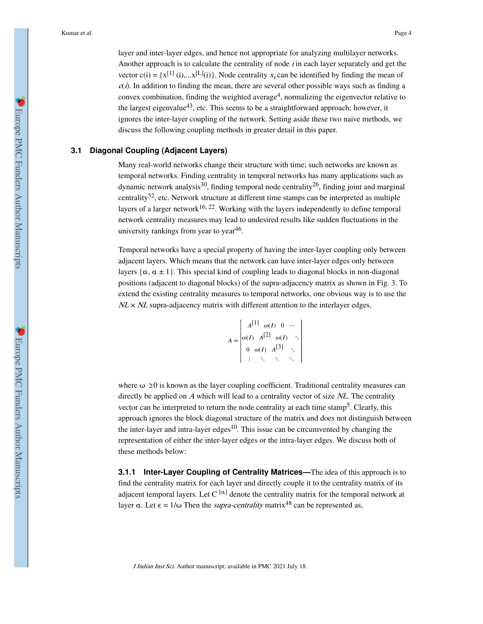layer and inter-layer edges, and hence not appropriate for analyzing multilayer networks. Another approach is to calculate the centrality of node  $\ell$  in each layer separately and get the vector  $c(i) = \{x^{[1]}(i), \dots x^{[L]}(i)\}\.$  Node centrality  $x_i$  can be identified by finding the mean of  $c(i)$ . In addition to finding the mean, there are several other possible ways such as finding a convex combination, finding the weighted average<sup>4</sup>, normalizing the eigenvector relative to the largest eigenvalue<sup>43</sup>, etc. This seems to be a straightforward approach; however, it ignores the inter-layer coupling of the network. Setting aside these two naive methods, we discuss the following coupling methods in greater detail in this paper.

#### **3.1 Diagonal Coupling (Adjacent Layers)**

Many real-world networks change their structure with time; such networks are known as temporal networks. Finding centrality in temporal networks has many applications such as dynamic network analysis<sup>30</sup>, finding temporal node centrality<sup>26</sup>, finding joint and marginal centrality<sup>52</sup>, etc. Network structure at different time stamps can be interpreted as multiple layers of a larger network<sup>16, 22</sup>. Working with the layers independently to define temporal network centrality measures may lead to undesired results like sudden fluctuations in the university rankings from year to year<sup>46</sup>.

Temporal networks have a special property of having the inter-layer coupling only between adjacent layers. Which means that the network can have inter-layer edges only between layers  $\{\alpha, \alpha \pm 1\}$ . This special kind of coupling leads to diagonal blocks in non-diagonal positions (adjacent to diagonal blocks) of the supra-adjacency matrix as shown in Fig. 3. To extend the existing centrality measures to temporal networks, one obvious way is to use the  $NL \times NL$  supra-adjacency matrix with different attention to the interlayer edges,

$$
A = \begin{bmatrix} A^{[1]} & \omega(I) & 0 & \cdots \\ \omega(I) & A^{[2]} & \omega(I) & \cdots \\ 0 & \omega(I) & A^{[3]} & \cdots \\ \vdots & \ddots & \ddots & \ddots \end{bmatrix}
$$

where  $\omega \ge 0$  is known as the layer coupling coefficient. Traditional centrality measures can directly be applied on  $A$  which will lead to a centrality vector of size  $NL$ . The centrality vector can be interpreted to return the node centrality at each time stamp<sup>5</sup>. Clearly, this approach ignores the block diagonal structure of the matrix and does not distinguish between the inter-layer and intra-layer edges<sup>10</sup>. This issue can be circumvented by changing the representation of either the inter-layer edges or the intra-layer edges. We discuss both of these methods below:

**3.1.1 Inter-Layer Coupling of Centrality Matrices—The idea of this approach is to** find the centrality matrix for each layer and directly couple it to the centrality matrix of its adjacent temporal layers. Let  $C^{[\alpha]}$  denote the centrality matrix for the temporal network at layer  $\alpha$ . Let  $\epsilon = 1/\omega$  Then the *supra-centrality* matrix<sup>48</sup> can be represented as,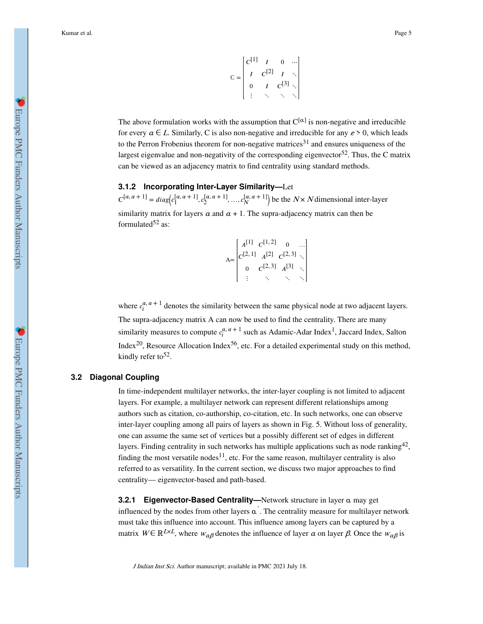$$
\mathbb{C} = \begin{bmatrix} C^{[1]} & I & 0 & \cdots \\ I & C^{[2]} & I & \ddots \\ 0 & I & C^{[3]} & \ddots \\ \vdots & \ddots & \ddots & \ddots \end{bmatrix}
$$

The above formulation works with the assumption that  $C^{[\alpha]}$  is non-negative and irreducible for every  $a \in L$ . Similarly, C is also non-negative and irreducible for any  $\varepsilon > 0$ , which leads to the Perron Frobenius theorem for non-negative matrices<sup>31</sup> and ensures uniqueness of the largest eigenvalue and non-negativity of the corresponding eigenvector<sup>52</sup>. Thus, the C matrix can be viewed as an adjacency matrix to find centrality using standard methods.

#### **3.1.2 Incorporating Inter-Layer Similarity—**Let

 $C^{[\alpha,\alpha+1]} = diag(c_1^{[\alpha,\alpha+1]}, c_2^{[\alpha,\alpha+1]}, ..., c_N^{[\alpha,\alpha+1]})$  be the  $N \times N$  dimensional inter-layer similarity matrix for layers  $\alpha$  and  $\alpha + 1$ . The supra-adjacency matrix can then be formulated $52$  as:

> $A=$  $A^{[1]}$   $C^{[1,2]}$  0 ...  $C^{[2, 1]}$   $A^{[2]}$   $C^{[2, 3]}$  . 0  $C^{[2,3]}$   $A^{[3]}$   $\cdot$ ⋮ ⋱ ⋱ ⋱

where  $c_i^{\alpha, \alpha+1}$  denotes the similarity between the same physical node at two adjacent layers. The supra-adjacency matrix A can now be used to find the centrality. There are many similarity measures to compute  $c_i^{\alpha, \alpha + 1}$  such as Adamic-Adar Index<sup>1</sup>, Jaccard Index, Salton Index<sup>20</sup>, Resource Allocation Index<sup>56</sup>, etc. For a detailed experimental study on this method, kindly refer to  $52$ .

#### **3.2 Diagonal Coupling**

In time-independent multilayer networks, the inter-layer coupling is not limited to adjacent layers. For example, a multilayer network can represent different relationships among authors such as citation, co-authorship, co-citation, etc. In such networks, one can observe inter-layer coupling among all pairs of layers as shown in Fig. 5. Without loss of generality, one can assume the same set of vertices but a possibly different set of edges in different layers. Finding centrality in such networks has multiple applications such as node ranking<sup>42</sup>, finding the most versatile nodes<sup>11</sup>, etc. For the same reason, multilayer centrality is also referred to as versatility. In the current section, we discuss two major approaches to find centrality— eigenvector-based and path-based.

**3.2.1 Eigenvector-Based Centrality—**Network structure in layer α may get influenced by the nodes from other layers  $\alpha'$ . The centrality measure for multilayer network must take this influence into account. This influence among layers can be captured by a matrix  $W \in \mathbb{R}^{L \times L}$ , where  $w_{\alpha\beta}$  denotes the influence of layer  $\alpha$  on layer  $\beta$ . Once the  $w_{\alpha\beta}$  is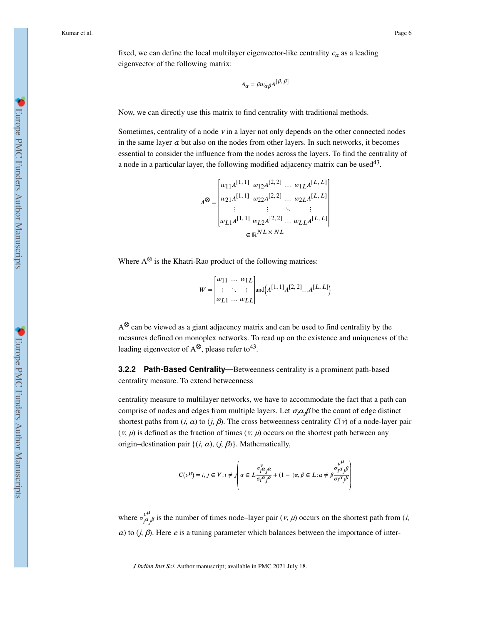fixed, we can define the local multilayer eigenvector-like centrality  $c_a$  as a leading eigenvector of the following matrix:

$$
A_{\alpha} = \beta w_{\alpha\beta} A^{[\beta,\beta]}
$$

Now, we can directly use this matrix to find centrality with traditional methods.

Sometimes, centrality of a node  $v$  in a layer not only depends on the other connected nodes in the same layer  $\alpha$  but also on the nodes from other layers. In such networks, it becomes essential to consider the influence from the nodes across the layers. To find the centrality of a node in a particular layer, the following modified adjacency matrix can be used $43$ .

$$
A^{\otimes} = \begin{bmatrix} w_{11}A^{[1, 1]} & w_{12}A^{[2, 2]} & \dots & w_{1L}A^{[L, L]} \\ w_{21}A^{[1, 1]} & w_{22}A^{[2, 2]} & \dots & w_{2L}A^{[L, L]} \\ \vdots & \vdots & \ddots & \vdots \\ w_{L1}A^{[1, 1]} & w_{L2}A^{[2, 2]} & \dots & w_{LL}A^{[L, L]} \\ \in \mathbb{R}^{NL \times NL} \end{bmatrix}
$$

Where  $A^{\otimes}$  is the Khatri-Rao product of the following matrices:

$$
W = \begin{bmatrix} w_{11} & \dots & w_{1L} \\ \vdots & \ddots & \vdots \\ w_{L1} & \dots & w_{LL} \end{bmatrix} \text{and} \Big( A^{[1, 1]} A^{[2, 2]} \dots A^{[L, L]} \Big)
$$

A⊗ can be viewed as a giant adjacency matrix and can be used to find centrality by the measures defined on monoplex networks. To read up on the existence and uniqueness of the leading eigenvector of A<sup>⊗</sup>, please refer to<sup>43</sup>.

**3.2.2 Path-Based Centrality—**Betweenness centrality is a prominent path-based centrality measure. To extend betweenness

centrality measure to multilayer networks, we have to accommodate the fact that a path can comprise of nodes and edges from multiple layers. Let  $\sigma_i a_j \beta$  be the count of edge distinct shortest paths from  $(i, a)$  to  $(j, \beta)$ . The cross betweenness centrality  $C(v)$  of a node-layer pair  $(v, \mu)$  is defined as the fraction of times  $(v, \mu)$  occurs on the shortest path between any origin–destination pair  $\{(i, a), (j, \beta)\}\$ . Mathematically,

$$
C(\nu^{\mu}) = i, j \in V: i \neq j \left( \alpha \in L \frac{\sigma_i^{\nu} \alpha_j \alpha}{\sigma_i \alpha_j \alpha} + (1 - \alpha), \beta \in L: \alpha \neq \beta \frac{\sigma_i^{\nu^{\mu}} \beta}{\sigma_i \alpha_j \beta} \right)
$$

where  $\sigma_{i\alpha_j\beta}^{v^{\mu}}$  is the number of times node–layer pair  $(v, \mu)$  occurs on the shortest path from  $(i, \mu)$ a) to  $(j, \beta)$ . Here  $\varepsilon$  is a tuning parameter which balances between the importance of inter-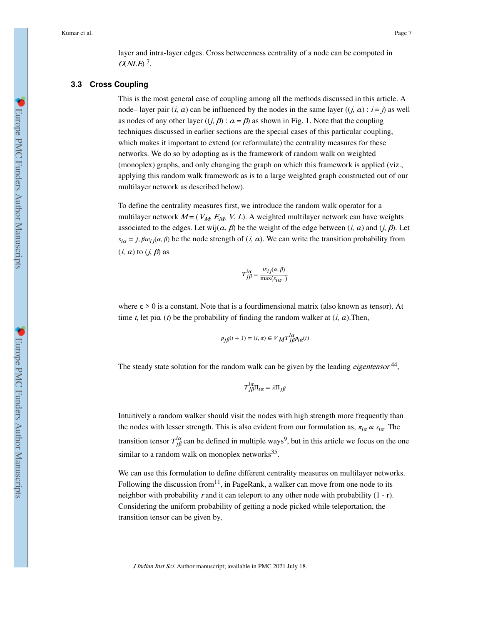layer and intra-layer edges. Cross betweenness centrality of a node can be computed in  $QNLE$ <sup>7</sup>.

#### **3.3 Cross Coupling**

This is the most general case of coupling among all the methods discussed in this article. A node– layer pair  $(i, a)$  can be influenced by the nodes in the same layer  $((i, a) : i = j)$  as well as nodes of any other layer  $((j, \beta) : \alpha = \beta)$  as shown in Fig. 1. Note that the coupling techniques discussed in earlier sections are the special cases of this particular coupling, which makes it important to extend (or reformulate) the centrality measures for these networks. We do so by adopting as is the framework of random walk on weighted (monoplex) graphs, and only changing the graph on which this framework is applied (viz., applying this random walk framework as is to a large weighted graph constructed out of our multilayer network as described below).

To define the centrality measures first, we introduce the random walk operator for a multilayer network  $M = (V_M, E_M, V, L)$ . A weighted multilayer network can have weights associated to the edges. Let wij $(a, \beta)$  be the weight of the edge between  $(i, a)$  and  $(j, \beta)$ . Let  $s_{i\alpha} = j$ ,  $\beta w_{i\beta}(\alpha, \beta)$  be the node strength of  $(i, \alpha)$ . We can write the transition probability from  $(i, a)$  to  $(i, \beta)$  as

$$
T_{j\beta}^{i\alpha}=\frac{w_{ij}(\alpha,\beta)}{\max(s_{i\alpha},\ )}
$$

where  $\epsilon > 0$  is a constant. Note that is a fourdimensional matrix (also known as tensor). At time t, let pi $\alpha$  (t) be the probability of finding the random walker at  $(i, \alpha)$ . Then,

$$
p_{j\beta}(t+1) = (i, \alpha) \in V_{\mathbf{M}} T^{l\alpha}_{j\beta} p_{i\alpha}(t)
$$

iα

The steady state solution for the random walk can be given by the leading *eigentensor*<sup>44</sup>,

$$
T_{j\beta}^{i\alpha}\Pi_{i\alpha}=\lambda\Pi_{j\beta}
$$

Intuitively a random walker should visit the nodes with high strength more frequently than the nodes with lesser strength. This is also evident from our formulation as,  $\pi_{i\alpha} \propto s_{i\alpha}$ . The transition tensor  $T_{j\beta}^{i\alpha}$  can be defined in multiple ways<sup>9</sup>, but in this article we focus on the one similar to a random walk on monoplex networks<sup>35</sup>.

We can use this formulation to define different centrality measures on multilayer networks. Following the discussion from<sup>11</sup>, in PageRank, a walker can move from one node to its neighbor with probability r and it can teleport to any other node with probability  $(1 - r)$ . Considering the uniform probability of getting a node picked while teleportation, the transition tensor can be given by,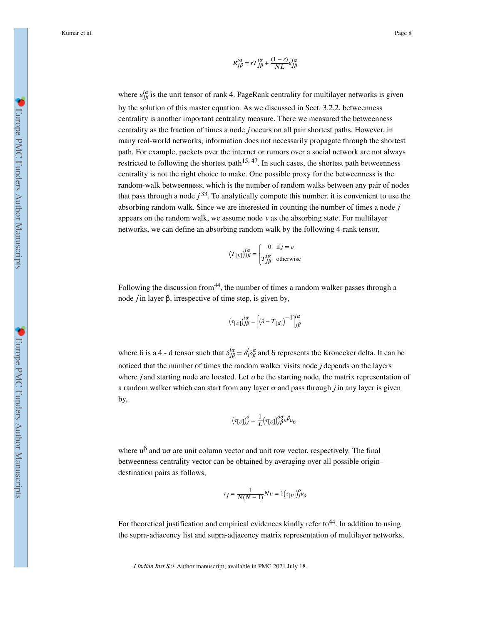$$
R_{j\beta}^{i\alpha}=rT_{j\beta}^{i\alpha}+\frac{(1-r)}{NL}u_{j\beta}^{i\alpha}
$$

where  $u_{j\beta}^{i\alpha}$  is the unit tensor of rank 4. PageRank centrality for multilayer networks is given by the solution of this master equation. As we discussed in Sect. 3.2.2, betweenness centrality is another important centrality measure. There we measured the betweenness centrality as the fraction of times a node j occurs on all pair shortest paths. However, in many real-world networks, information does not necessarily propagate through the shortest path. For example, packets over the internet or rumors over a social network are not always restricted to following the shortest path<sup>15, 47</sup>. In such cases, the shortest path betweenness centrality is not the right choice to make. One possible proxy for the betweenness is the random-walk betweenness, which is the number of random walks between any pair of nodes that pass through a node  $j^{33}$ . To analytically compute this number, it is convenient to use the absorbing random walk. Since we are interested in counting the number of times a node  $j$ appears on the random walk, we assume node v as the absorbing state. For multilayer networks, we can define an absorbing random walk by the following 4-rank tensor,

$$
(T[v])_{j\beta}^{i\alpha} = \begin{cases} 0 & \text{if } j = v \\ T_{j\beta}^{i\alpha} & \text{otherwise} \end{cases}
$$

Following the discussion from  $44$ , the number of times a random walker passes through a node *j* in layer β, irrespective of time step, is given by,

$$
\left(\tau_{\left[\boldsymbol{v}\boldsymbol{\right]}\right)}\!\!\int\limits_{\boldsymbol{j}\boldsymbol{\beta}}^{\boldsymbol{i}\alpha}=\left[\left(\delta-T_{\left[\boldsymbol{d}\right]}\right)^{-1}\right]_{\boldsymbol{j}\boldsymbol{\beta}}^{\boldsymbol{i}\alpha}
$$

where  $\delta$  is a 4 - d tensor such that  $\delta_{j\beta}^{i\alpha} = \delta_{j\beta}^{i\alpha}$  and  $\delta$  represents the Kronecker delta. It can be noticed that the number of times the random walker visits node  $j$  depends on the layers where  $j$  and starting node are located. Let  $o$  be the starting node, the matrix representation of a random walker which can start from any layer  $\sigma$  and pass through *j* in any layer is given by,

$$
(\tau_{[v]})_j^o = \frac{1}{L} (\tau_{[v]})_{j\beta}^{o\sigma} u_{\sigma},
$$

where  $u^{\beta}$  and  $u\sigma$  are unit column vector and unit row vector, respectively. The final betweenness centrality vector can be obtained by averaging over all possible origin– destination pairs as follows,

$$
\tau_j = \frac{1}{N(N-1)} Nv = 1(\tau_{[v]})_j^0 u_o
$$

For theoretical justification and empirical evidences kindly refer to  $44$ . In addition to using the supra-adjacency list and supra-adjacency matrix representation of multilayer networks,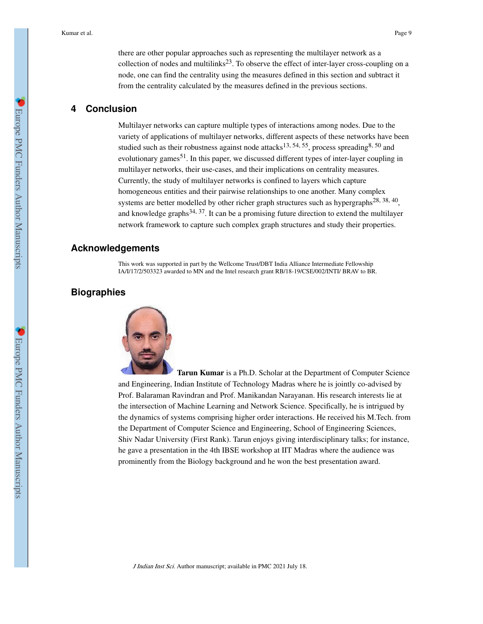there are other popular approaches such as representing the multilayer network as a collection of nodes and multilinks<sup>23</sup>. To observe the effect of inter-layer cross-coupling on a node, one can find the centrality using the measures defined in this section and subtract it from the centrality calculated by the measures defined in the previous sections.

# **4 Conclusion**

Multilayer networks can capture multiple types of interactions among nodes. Due to the variety of applications of multilayer networks, different aspects of these networks have been studied such as their robustness against node attacks<sup>13, 54, 55</sup>, process spreading<sup>8, 50</sup> and evolutionary games<sup>51</sup>. In this paper, we discussed different types of inter-layer coupling in multilayer networks, their use-cases, and their implications on centrality measures. Currently, the study of multilayer networks is confined to layers which capture homogeneous entities and their pairwise relationships to one another. Many complex systems are better modelled by other richer graph structures such as hypergraphs<sup>28, 38, 40</sup>, and knowledge graphs<sup>34, 37</sup>. It can be a promising future direction to extend the multilayer network framework to capture such complex graph structures and study their properties.

## **Acknowledgements**

This work was supported in part by the Wellcome Trust/DBT India Alliance Intermediate Fellowship IA/I/17/2/503323 awarded to MN and the Intel research grant RB/18-19/CSE/002/INTI/ BRAV to BR.

## **Biographies**



**Tarun Kumar** is a Ph.D. Scholar at the Department of Computer Science and Engineering, Indian Institute of Technology Madras where he is jointly co-advised by Prof. Balaraman Ravindran and Prof. Manikandan Narayanan. His research interests lie at the intersection of Machine Learning and Network Science. Specifically, he is intrigued by the dynamics of systems comprising higher order interactions. He received his M.Tech. from the Department of Computer Science and Engineering, School of Engineering Sciences, Shiv Nadar University (First Rank). Tarun enjoys giving interdisciplinary talks; for instance, he gave a presentation in the 4th IBSE workshop at IIT Madras where the audience was prominently from the Biology background and he won the best presentation award.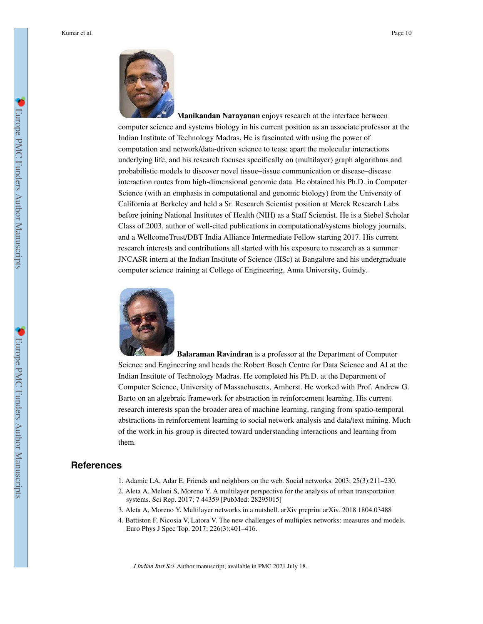

**Manikandan Narayanan** enjoys research at the interface between computer science and systems biology in his current position as an associate professor at the Indian Institute of Technology Madras. He is fascinated with using the power of computation and network/data-driven science to tease apart the molecular interactions underlying life, and his research focuses specifically on (multilayer) graph algorithms and probabilistic models to discover novel tissue–tissue communication or disease–disease interaction routes from high-dimensional genomic data. He obtained his Ph.D. in Computer Science (with an emphasis in computational and genomic biology) from the University of California at Berkeley and held a Sr. Research Scientist position at Merck Research Labs before joining National Institutes of Health (NIH) as a Staff Scientist. He is a Siebel Scholar Class of 2003, author of well-cited publications in computational/systems biology journals, and a WellcomeTrust/DBT India Alliance Intermediate Fellow starting 2017. His current research interests and contributions all started with his exposure to research as a summer JNCASR intern at the Indian Institute of Science (IISc) at Bangalore and his undergraduate computer science training at College of Engineering, Anna University, Guindy.



**Balaraman Ravindran** is a professor at the Department of Computer Science and Engineering and heads the Robert Bosch Centre for Data Science and AI at the Indian Institute of Technology Madras. He completed his Ph.D. at the Department of Computer Science, University of Massachusetts, Amherst. He worked with Prof. Andrew G. Barto on an algebraic framework for abstraction in reinforcement learning. His current research interests span the broader area of machine learning, ranging from spatio-temporal abstractions in reinforcement learning to social network analysis and data/text mining. Much of the work in his group is directed toward understanding interactions and learning from them.

## **References**

- 1. Adamic LA, Adar E. Friends and neighbors on the web. Social networks. 2003; 25(3):211–230.
- 2. Aleta A, Meloni S, Moreno Y. A multilayer perspective for the analysis of urban transportation systems. Sci Rep. 2017; 7 44359 [PubMed: 28295015]
- 3. Aleta A, Moreno Y. Multilayer networks in a nutshell. arXiv preprint arXiv. 2018 1804.03488
- 4. Battiston F, Nicosia V, Latora V. The new challenges of multiplex networks: measures and models. Euro Phys J Spec Top. 2017; 226(3):401–416.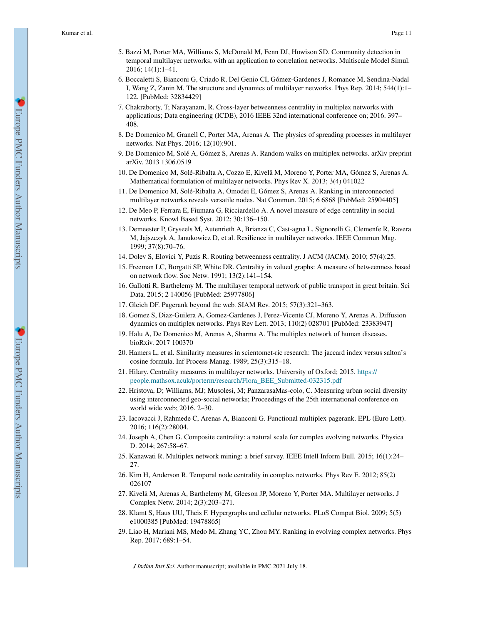- 5. Bazzi M, Porter MA, Williams S, McDonald M, Fenn DJ, Howison SD. Community detection in temporal multilayer networks, with an application to correlation networks. Multiscale Model Simul. 2016; 14(1):1–41.
- 6. Boccaletti S, Bianconi G, Criado R, Del Genio CI, Gómez-Gardenes J, Romance M, Sendina-Nadal I, Wang Z, Zanin M. The structure and dynamics of multilayer networks. Phys Rep. 2014; 544(1):1– 122. [PubMed: 32834429]
- 7. Chakraborty, T; Narayanam, R. Cross-layer betweenness centrality in multiplex networks with applications; Data engineering (ICDE), 2016 IEEE 32nd international conference on; 2016. 397– 408.
- 8. De Domenico M, Granell C, Porter MA, Arenas A. The physics of spreading processes in multilayer networks. Nat Phys. 2016; 12(10):901.
- 9. De Domenico M, Solé A, Gómez S, Arenas A. Random walks on multiplex networks. arXiv preprint arXiv. 2013 1306.0519
- 10. De Domenico M, Solé-Ribalta A, Cozzo E, Kivelä M, Moreno Y, Porter MA, Gómez S, Arenas A. Mathematical formulation of multilayer networks. Phys Rev X. 2013; 3(4) 041022
- 11. De Domenico M, Solé-Ribalta A, Omodei E, Gómez S, Arenas A. Ranking in interconnected multilayer networks reveals versatile nodes. Nat Commun. 2015; 6 6868 [PubMed: 25904405]
- 12. De Meo P, Ferrara E, Fiumara G, Ricciardello A. A novel measure of edge centrality in social networks. Knowl Based Syst. 2012; 30:136–150.
- 13. Demeester P, Gryseels M, Autenrieth A, Brianza C, Cast-agna L, Signorelli G, Clemenfe R, Ravera M, Jajszczyk A, Janukowicz D, et al. Resilience in multilayer networks. IEEE Commun Mag. 1999; 37(8):70–76.
- 14. Dolev S, Elovici Y, Puzis R. Routing betweenness centrality. J ACM (JACM). 2010; 57(4):25.
- 15. Freeman LC, Borgatti SP, White DR. Centrality in valued graphs: A measure of betweenness based on network flow. Soc Netw. 1991; 13(2):141–154.
- 16. Gallotti R, Barthelemy M. The multilayer temporal network of public transport in great britain. Sci Data. 2015; 2 140056 [PubMed: 25977806]
- 17. Gleich DF. Pagerank beyond the web. SIAM Rev. 2015; 57(3):321–363.
- 18. Gomez S, Diaz-Guilera A, Gomez-Gardenes J, Perez-Vicente CJ, Moreno Y, Arenas A. Diffusion dynamics on multiplex networks. Phys Rev Lett. 2013; 110(2) 028701 [PubMed: 23383947]
- 19. Halu A, De Domenico M, Arenas A, Sharma A. The multiplex network of human diseases. bioRxiv. 2017 100370
- 20. Hamers L, et al. Similarity measures in scientomet-ric research: The jaccard index versus salton's cosine formula. Inf Process Manag. 1989; 25(3):315–18.
- 21. Hilary. Centrality measures in multilayer networks. University of Oxford; 2015. https:// people.mathsox.acuk/porterm/research/Flora\_BEE\_Submitted-032315.pdf
- 22. Hristova, D; Williams, MJ; Musolesi, M; PanzarasaMas-colo, C. Measuring urban social diversity using interconnected geo-social networks; Proceedings of the 25th international conference on world wide web; 2016. 2–30.
- 23. Iacovacci J, Rahmede C, Arenas A, Bianconi G. Functional multiplex pagerank. EPL (Euro Lett). 2016; 116(2):28004.
- 24. Joseph A, Chen G. Composite centrality: a natural scale for complex evolving networks. Physica D. 2014; 267:58–67.
- 25. Kanawati R. Multiplex network mining: a brief survey. IEEE Intell Inform Bull. 2015; 16(1):24– 27.
- 26. Kim H, Anderson R. Temporal node centrality in complex networks. Phys Rev E. 2012; 85(2) 026107
- 27. Kivelä M, Arenas A, Barthelemy M, Gleeson JP, Moreno Y, Porter MA. Multilayer networks. J Complex Netw. 2014; 2(3):203–271.
- 28. Klamt S, Haus UU, Theis F. Hypergraphs and cellular networks. PLoS Comput Biol. 2009; 5(5) e1000385 [PubMed: 19478865]
- 29. Liao H, Mariani MS, Medo M, Zhang YC, Zhou MY. Ranking in evolving complex networks. Phys Rep. 2017; 689:1–54.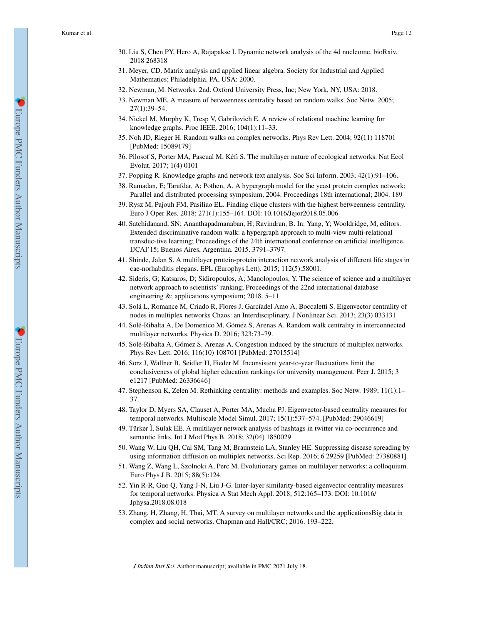- 30. Liu S, Chen PY, Hero A, Rajapakse I. Dynamic network analysis of the 4d nucleome. bioRxiv. 2018 268318
- 31. Meyer, CD. Matrix analysis and applied linear algebra. Society for Industrial and Applied Mathematics; Philadelphia, PA, USA: 2000.
- 32. Newman, M. Networks. 2nd. Oxford University Press, Inc; New York, NY, USA: 2018.
- 33. Newman ME. A measure of betweenness centrality based on random walks. Soc Netw. 2005; 27(1):39–54.
- 34. Nickel M, Murphy K, Tresp V, Gabrilovich E. A review of relational machine learning for knowledge graphs. Proc IEEE. 2016; 104(1):11–33.
- 35. Noh JD, Rieger H. Random walks on complex networks. Phys Rev Lett. 2004; 92(11) 118701 [PubMed: 15089179]
- 36. Pilosof S, Porter MA, Pascual M, Kéfi S. The multilayer nature of ecological networks. Nat Ecol Evolut. 2017; 1(4) 0101
- 37. Popping R. Knowledge graphs and network text analysis. Soc Sci Inform. 2003; 42(1):91–106.
- 38. Ramadan, E; Tarafdar, A; Pothen, A. A hypergraph model for the yeast protein complex network; Parallel and distributed processing symposium, 2004. Proceedings 18th international; 2004. 189
- 39. Rysz M, Pajouh FM, Pasiliao EL. Finding clique clusters with the highest betweenness centrality. Euro J Oper Res. 2018; 271(1):155–164. DOI: 10.1016/Jejor2018.05.006
- 40. Satchidanand, SN; Ananthapadmanaban, H; Ravindran, B. In: Yang, Y; Wooldridge, M, editors. Extended discriminative random walk: a hypergraph approach to multi-view multi-relational transduc-tive learning; Proceedings of the 24th international conference on artificial intelligence, IJCAI'15; Buenos Aires, Argentina. 2015. 3791–3797.
- 41. Shinde, Jalan S. A multilayer protein-protein interaction network analysis of different life stages in cae-norhabditis elegans. EPL (Europhys Lett). 2015; 112(5):58001.
- 42. Sideris, G; Katsaros, D; Sidiropoulos, A; Manolopoulos, Y. The science of science and a multilayer network approach to scientists' ranking; Proceedings of the 22nd international database engineering &; applications symposium; 2018. 5–11.
- 43. Solá L, Romance M, Criado R, Flores J, Garcíadel Amo A, Boccaletti S. Eigenvector centrality of nodes in multiplex networks Chaos: an Interdisciplinary. J Nonlinear Sci. 2013; 23(3) 033131
- 44. Solé-Ribalta A, De Domenico M, Gómez S, Arenas A. Random walk centrality in interconnected multilayer networks. Physica D. 2016; 323:73–79.
- 45. Solé-Ribalta A, Gómez S, Arenas A. Congestion induced by the structure of multiplex networks. Phys Rev Lett. 2016; 116(10) 108701 [PubMed: 27015514]
- 46. Sorz J, Wallner B, Seidler H, Fieder M. Inconsistent year-to-year fluctuations limit the conclusiveness of global higher education rankings for university management. Peer J. 2015; 3 e1217 [PubMed: 26336646]
- 47. Stephenson K, Zelen M. Rethinking centrality: methods and examples. Soc Netw. 1989; 11(1):1– 37.
- 48. Taylor D, Myers SA, Clauset A, Porter MA, Mucha PJ. Eigenvector-based centrality measures for temporal networks. Multiscale Model Simul. 2017; 15(1):537–574. [PubMed: 29046619]
- 49. Türker Ì, Sulak EE. A multilayer network analysis of hashtags in twitter via co-occurrence and semantic links. Int J Mod Phys B. 2018; 32(04) 1850029
- 50. Wang W, Liu QH, Cai SM, Tang M, Braunstein LA, Stanley HE. Suppressing disease spreading by using information diffusion on multiplex networks. Sci Rep. 2016; 6 29259 [PubMed: 27380881]
- 51. Wang Z, Wang L, Szolnoki A, Perc M. Evolutionary games on multilayer networks: a colloquium. Euro Phys J B. 2015; 88(5):124.
- 52. Yin R-R, Guo Q, Yang J-N, Liu J-G. Inter-layer similarity-based eigenvector centrality measures for temporal networks. Physica A Stat Mech Appl. 2018; 512:165–173. DOI: 10.1016/ Jphysa.2018.08.018
- 53. Zhang, H, Zhang, H, Thai, MT. A survey on multilayer networks and the applicationsBig data in complex and social networks. Chapman and Hall/CRC; 2016. 193–222.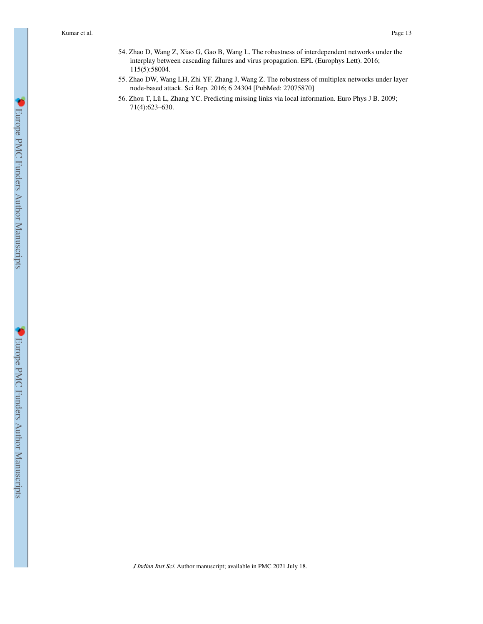- 54. Zhao D, Wang Z, Xiao G, Gao B, Wang L. The robustness of interdependent networks under the interplay between cascading failures and virus propagation. EPL (Europhys Lett). 2016; 115(5):58004.
- 55. Zhao DW, Wang LH, Zhi YF, Zhang J, Wang Z. The robustness of multiplex networks under layer node-based attack. Sci Rep. 2016; 6 24304 [PubMed: 27075870]
- 56. Zhou T, Lü L, Zhang YC. Predicting missing links via local information. Euro Phys J B. 2009; 71(4):623–630.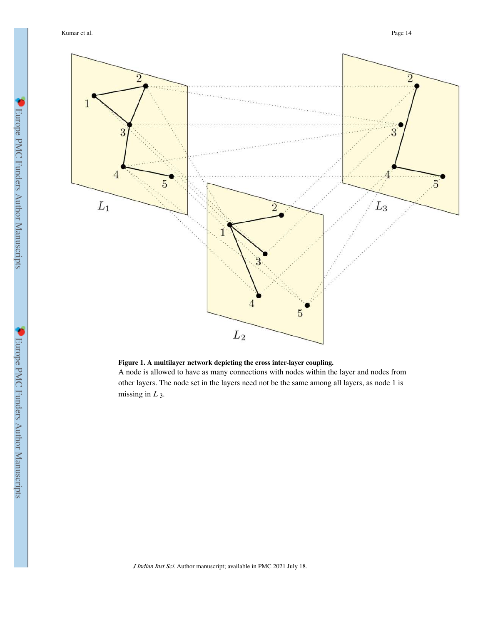Kumar et al. Page 14



**Figure 1. A multilayer network depicting the cross inter-layer coupling.**

A node is allowed to have as many connections with nodes within the layer and nodes from other layers. The node set in the layers need not be the same among all layers, as node 1 is missing in  $L_3$ .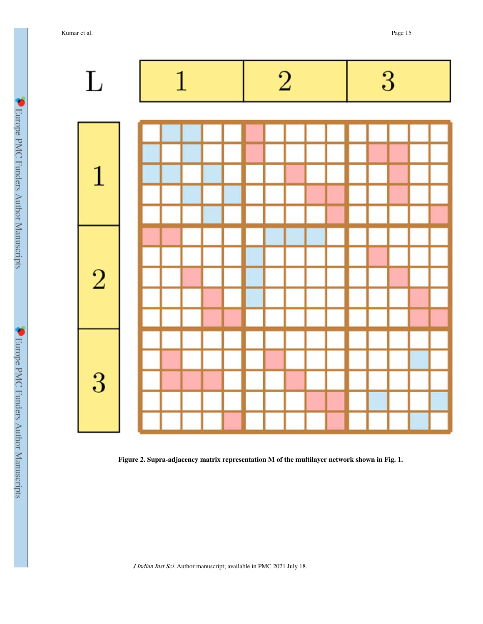Kumar et al. Page 15



**Figure 2. Supra-adjacency matrix representation M of the multilayer network shown in Fig. 1.**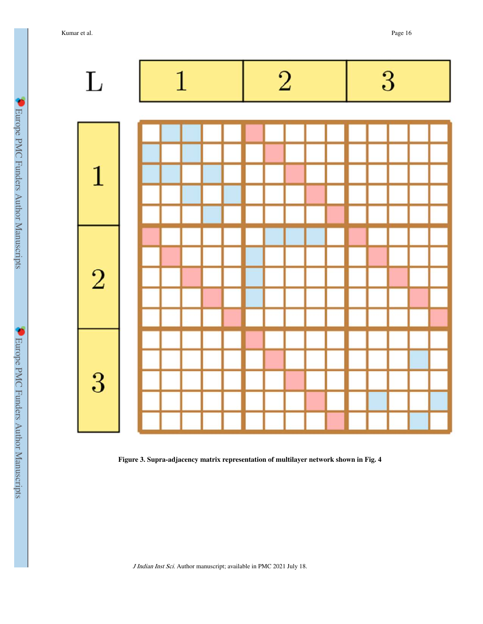Kumar et al. Page 16



**Figure 3. Supra-adjacency matrix representation of multilayer network shown in Fig. 4**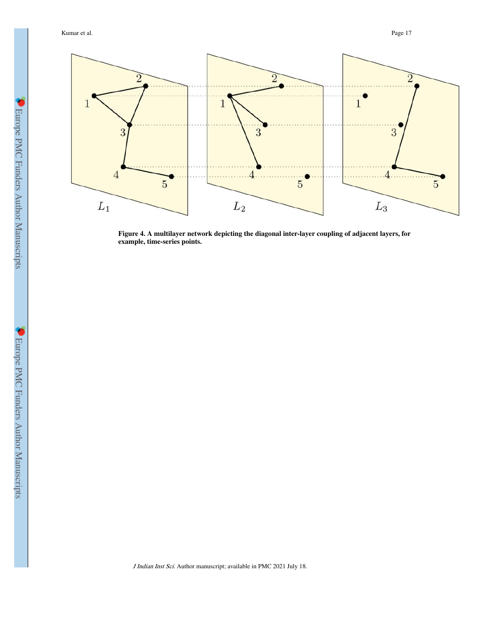

**Figure 4. A multilayer network depicting the diagonal inter-layer coupling of adjacent layers, for example, time-series points.**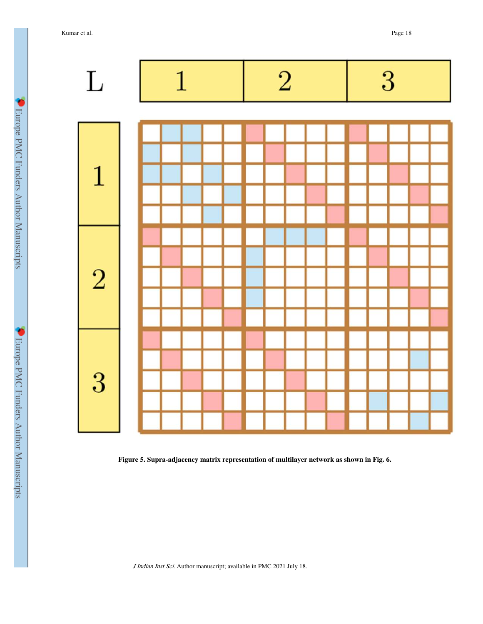Kumar et al. Page 18



**Figure 5. Supra-adjacency matrix representation of multilayer network as shown in Fig. 6.**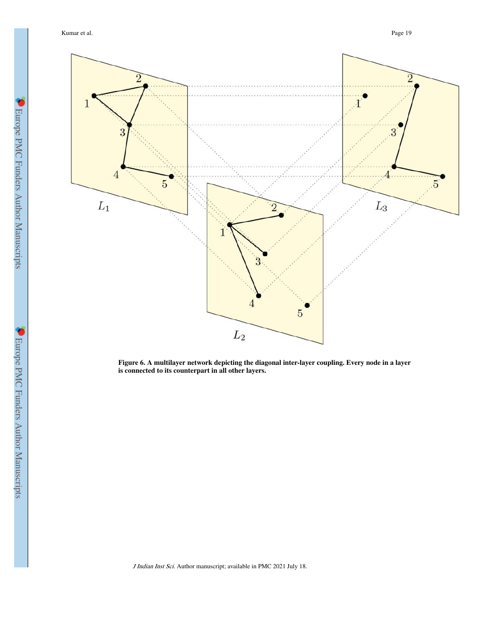Kumar et al. Page 19



**Figure 6. A multilayer network depicting the diagonal inter-layer coupling. Every node in a layer is connected to its counterpart in all other layers.**